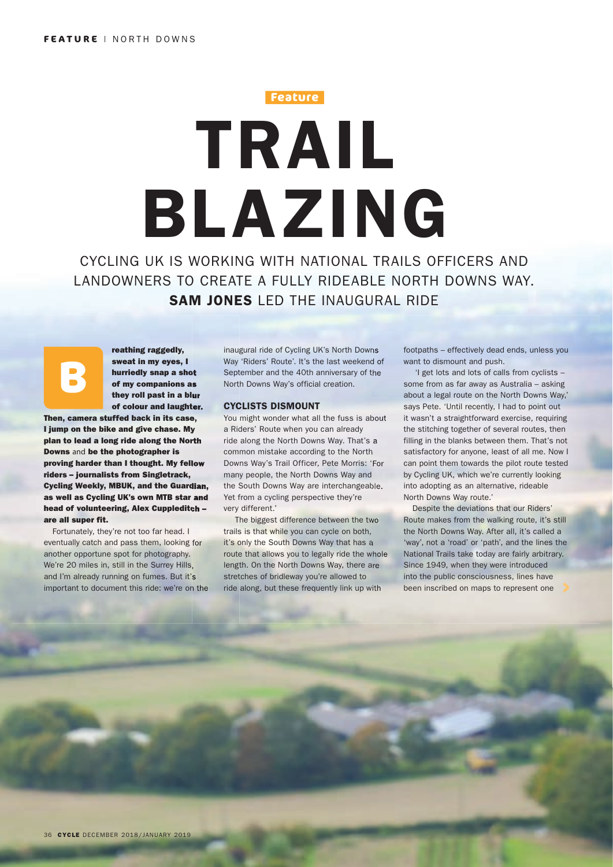# **Feature**

# TRAIL BLAZING

CYCLING UK IS WORKING WITH NATIONAL TRAILS OFFICERS AND LANDOWNERS TO CREATE A FULLY RIDEABLE NORTH DOWNS WAY. SAM JONES LED THE INAUGURAL RIDE



reathing raggedly, sweat in my eyes, I hurriedly snap a shot of my companions as they roll past in a blur of colour and laughter.

Then, camera stuffed back in its case, I jump on the bike and give chase. My plan to lead a long ride along the North Downs and be the photographer is proving harder than I thought. My fellow riders – journalists from Singletrack, Cycling Weekly, MBUK, and the Guardian, as well as Cycling UK's own MTB star and head of volunteering, Alex Cuppleditch – are all super fit.

Fortunately, they're not too far head. I eventually catch and pass them, looking for another opportune spot for photography. We're 20 miles in, still in the Surrey Hills, and I'm already running on fumes. But it's important to document this ride: we're on the

**Fraction School of Manuscus Controllers**<br> **B** in any eyes, I Way 'Riders' Route'. It's the last weekend of hurriedly snap a shot September and the 40th anniversary of the of my companions as they roll past in a blur Way 'Riders' Route'. It's the last weekend of September and the 40th anniversary of the North Downs Way's official creation.

#### CYCLISTS DISMOUNT

You might wonder what all the fuss is about a Riders' Route when you can already ride along the North Downs Way. That's a common mistake according to the North Downs Way's Trail Officer, Pete Morris: 'For many people, the North Downs Way and the South Downs Way are interchangeable. Yet from a cycling perspective they're very different.'

 The biggest difference between the two trails is that while you can cycle on both, it's only the South Downs Way that has a route that allows you to legally ride the whole length. On the North Downs Way, there are stretches of bridleway you're allowed to ride along, but these frequently link up with

footpaths – effectively dead ends, unless you want to dismount and push.

 'I get lots and lots of calls from cyclists – some from as far away as Australia – asking about a legal route on the North Downs Way,' says Pete. 'Until recently, I had to point out it wasn't a straightforward exercise, requiring the stitching together of several routes, then filling in the blanks between them. That's not satisfactory for anyone, least of all me. Now I can point them towards the pilot route tested by Cycling UK, which we're currently looking into adopting as an alternative, rideable North Downs Way route.'

Despite the deviations that our Riders' Route makes from the walking route, it's still the North Downs Way. After all, it's called a 'way', not a 'road' or 'path', and the lines the National Trails take today are fairly arbitrary. Since 1949, when they were introduced into the public consciousness, lines have been inscribed on maps to represent one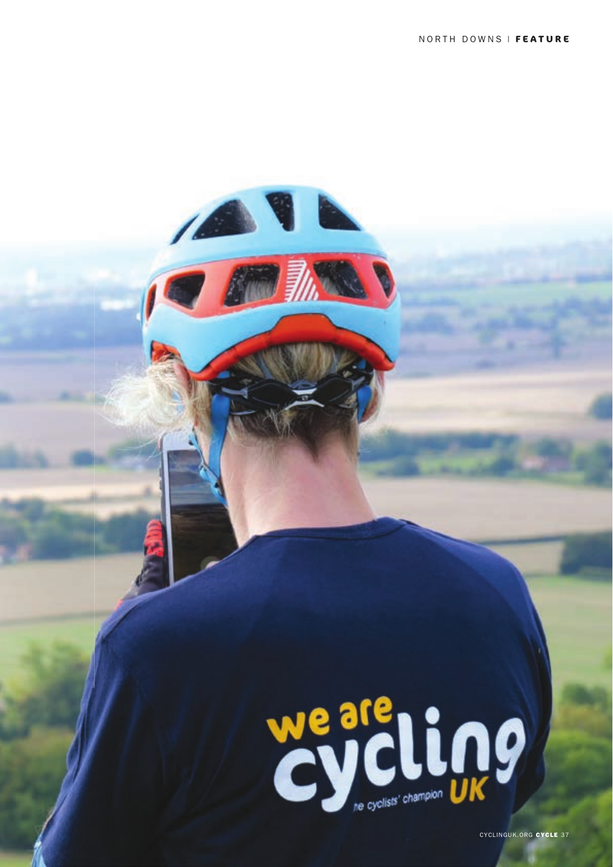

 $\sqrt{2}$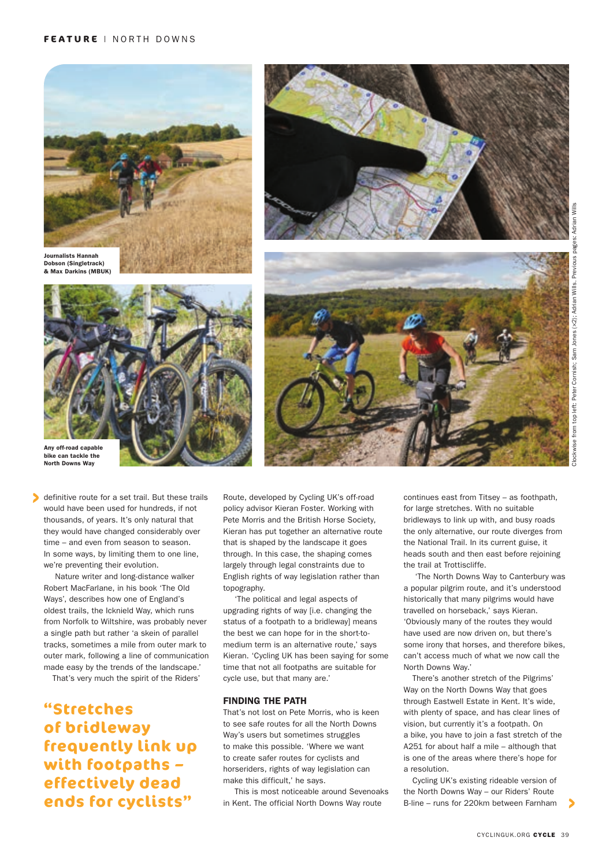

Dobson (Singletrack) & Max Darkins (MBUK)



bike can tackle the North Downs Way

definitive route for a set trail. But these trails would have been used for hundreds, if not thousands, of years. It's only natural that they would have changed considerably over time – and even from season to season. In some ways, by limiting them to one line, we're preventing their evolution.

Nature writer and long-distance walker Robert MacFarlane, in his book 'The Old Ways', describes how one of England's oldest trails, the Icknield Way, which runs from Norfolk to Wiltshire, was probably never a single path but rather 'a skein of parallel tracks, sometimes a mile from outer mark to outer mark, following a line of communication made easy by the trends of the landscape.'

That's very much the spirit of the Riders'

**"Stretches of bridleway frequently link up with footpaths – effectively dead ends for cyclists"**

Route, developed by Cycling UK's off-road policy advisor Kieran Foster. Working with Pete Morris and the British Horse Society, Kieran has put together an alternative route that is shaped by the landscape it goes through. In this case, the shaping comes largely through legal constraints due to English rights of way legislation rather than topography.

'The political and legal aspects of upgrading rights of way [i.e. changing the status of a footpath to a bridlewayl means the best we can hope for in the short-tomedium term is an alternative route,' says Kieran. 'Cycling UK has been saying for some time that not all footpaths are suitable for cycle use, but that many are.'

#### FINDING THE PATH

That's not lost on Pete Morris, who is keen to see safe routes for all the North Downs Way's users but sometimes struggles to make this possible. 'Where we want to create safer routes for cyclists and horseriders, rights of way legislation can make this difficult,' he says.

This is most noticeable around Sevenoaks in Kent. The official North Downs Way route

continues east from Titsey – as foothpath, for large stretches. With no suitable bridleways to link up with, and busy roads the only alternative, our route diverges from the National Trail. In its current guise, it heads south and then east before rejoining the trail at Trottiscliffe.

'The North Downs Way to Canterbury was a popular pilgrim route, and it's understood historically that many pilgrims would have travelled on horseback,' says Kieran. 'Obviously many of the routes they would have used are now driven on, but there's some irony that horses, and therefore bikes, can't access much of what we now call the North Downs Way.'

There's another stretch of the Pilgrims' Way on the North Downs Way that goes through Eastwell Estate in Kent. It's wide, with plenty of space, and has clear lines of vision, but currently it's a footpath. On a bike, you have to join a fast stretch of the A251 for about half a mile – although that is one of the areas where there's hope for a resolution.

Cycling UK's existing rideable version of the North Downs Way – our Riders' Route B-line – runs for 220km between Farnham

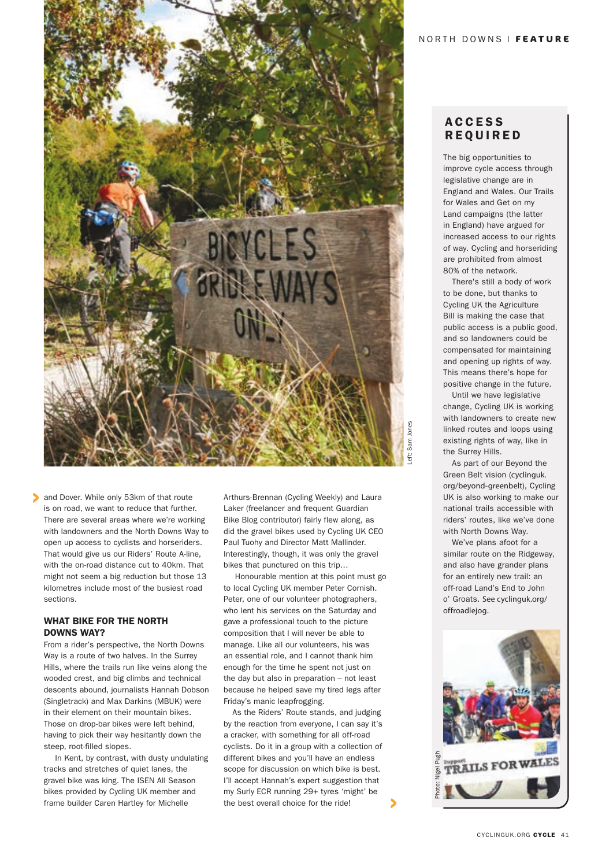

and Dover. While only 53km of that route is on road, we want to reduce that further. There are several areas where we're working with landowners and the North Downs Way to open up access to cyclists and horseriders. That would give us our Riders' Route A-line, with the on-road distance cut to 40km. That might not seem a big reduction but those 13 kilometres include most of the busiest road sections.

#### WHAT BIKE FOR THE NORTH DOWNS WAY?

From a rider's perspective, the North Downs Way is a route of two halves. In the Surrey Hills, where the trails run like veins along the wooded crest, and big climbs and technical descents abound, journalists Hannah Dobson (Singletrack) and Max Darkins (MBUK) were in their element on their mountain bikes. Those on drop-bar bikes were left behind, having to pick their way hesitantly down the steep, root-filled slopes.

In Kent, by contrast, with dusty undulating tracks and stretches of quiet lanes, the gravel bike was king. The ISEN All Season bikes provided by Cycling UK member and frame builder Caren Hartley for Michelle

Arthurs-Brennan (Cycling Weekly) and Laura Laker (freelancer and frequent Guardian Bike Blog contributor) fairly flew along, as did the gravel bikes used by Cycling UK CEO Paul Tuohy and Director Matt Mallinder. Interestingly, though, it was only the gravel bikes that punctured on this trip…

Honourable mention at this point must go to local Cycling UK member Peter Cornish. Peter, one of our volunteer photographers, who lent his services on the Saturday and gave a professional touch to the picture composition that I will never be able to manage. Like all our volunteers, his was an essential role, and I cannot thank him enough for the time he spent not just on the day but also in preparation – not least because he helped save my tired legs after Friday's manic leapfrogging.

As the Riders' Route stands, and judging by the reaction from everyone, I can say it's a cracker, with something for all off-road cyclists. Do it in a group with a collection of different bikes and you'll have an endless scope for discussion on which bike is best. I'll accept Hannah's expert suggestion that my Surly ECR running 29+ tyres 'might' be the best overall choice for the ride!

### **ACCESS REQUIRED**

The big opportunities to improve cycle access through legislative change are in England and Wales. Our Trails for Wales and Get on my Land campaigns (the latter in England) have argued for increased access to our rights of way. Cycling and horseriding are prohibited from almost 80% of the network.

 There's still a body of work to be done, but thanks to Cycling UK the Agriculture Bill is making the case that public access is a public good, and so landowners could be compensated for maintaining and opening up rights of way. This means there's hope for positive change in the future.

Until we have legislative change, Cycling UK is working with landowners to create new linked routes and loops using existing rights of way, like in the Surrey Hills.

As part of our Beyond the Green Belt vision (cyclinguk. org/beyond-greenbelt), Cycling UK is also working to make our national trails accessible with riders' routes, like we've done with North Downs Way.

We've plans afoot for a similar route on the Ridgeway, and also have grander plans for an entirely new trail: an off-road Land's End to John o' Groats. See cyclinguk.org/ offroadlejog.